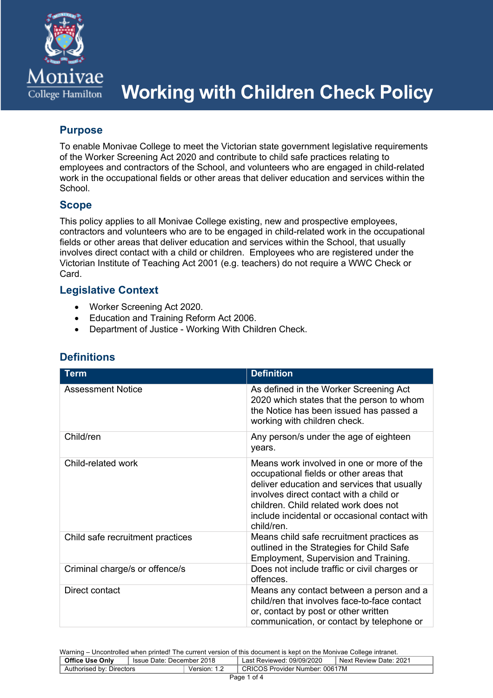

# **Working with Children Check Policy**

# **Purpose**

To enable Monivae College to meet the Victorian state government legislative requirements of the Worker Screening Act 2020 and contribute to child safe practices relating to employees and contractors of the School, and volunteers who are engaged in child-related work in the occupational fields or other areas that deliver education and services within the **School.** 

# **Scope**

This policy applies to all Monivae College existing, new and prospective employees, contractors and volunteers who are to be engaged in child-related work in the occupational fields or other areas that deliver education and services within the School, that usually involves direct contact with a child or children. Employees who are registered under the Victorian Institute of Teaching Act 2001 (e.g. teachers) do not require a WWC Check or Card.

# **Legislative Context**

- Worker Screening Act 2020.
- Education and Training Reform Act 2006.
- Department of Justice Working With Children Check.

| <b>Term</b>                      | <b>Definition</b>                                                                                                                                                                                                                                                                      |
|----------------------------------|----------------------------------------------------------------------------------------------------------------------------------------------------------------------------------------------------------------------------------------------------------------------------------------|
| Assessment Notice                | As defined in the Worker Screening Act<br>2020 which states that the person to whom<br>the Notice has been issued has passed a<br>working with children check.                                                                                                                         |
| Child/ren                        | Any person/s under the age of eighteen<br>years.                                                                                                                                                                                                                                       |
| Child-related work               | Means work involved in one or more of the<br>occupational fields or other areas that<br>deliver education and services that usually<br>involves direct contact with a child or<br>children. Child related work does not<br>include incidental or occasional contact with<br>child/ren. |
| Child safe recruitment practices | Means child safe recruitment practices as<br>outlined in the Strategies for Child Safe<br>Employment, Supervision and Training.                                                                                                                                                        |
| Criminal charge/s or offence/s   | Does not include traffic or civil charges or<br>offences.                                                                                                                                                                                                                              |
| Direct contact                   | Means any contact between a person and a<br>child/ren that involves face-to-face contact<br>or, contact by post or other written<br>communication, or contact by telephone or                                                                                                          |

# **Definitions**

Warning – Uncontrolled when printed! The current version of this document is kept on the Monivae College intranet.<br> **Office Use Only** Lissue Date: December 2018 Liss Reviewed: 09/09/2020 LNext Review Date: 2021 **Office Use Only** Issue Date: December 2018 Last Reviewed: 09/09/2020 Next Review Date: 2021

|             | <b>PRING ASS AND</b>     | Toout Date. Deceniber zo io |          | Last I to violetto. Objeto Zuzo       |  |
|-------------|--------------------------|-----------------------------|----------|---------------------------------------|--|
|             | Authorised by: Directors |                             | Version: | <b>CRICOS Provider Number: 00617M</b> |  |
| $D = 4 + 4$ |                          |                             |          |                                       |  |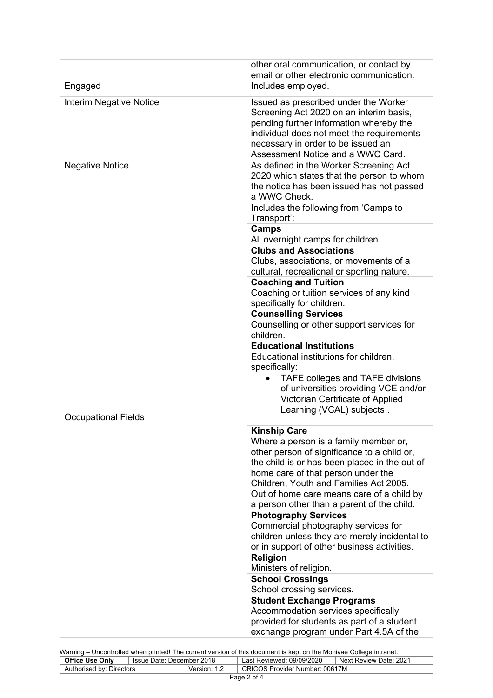|                                | other oral communication, or contact by<br>email or other electronic communication.                                                                                                                                                                                                       |
|--------------------------------|-------------------------------------------------------------------------------------------------------------------------------------------------------------------------------------------------------------------------------------------------------------------------------------------|
| Engaged                        | Includes employed.                                                                                                                                                                                                                                                                        |
| <b>Interim Negative Notice</b> | Issued as prescribed under the Worker<br>Screening Act 2020 on an interim basis,<br>pending further information whereby the<br>individual does not meet the requirements<br>necessary in order to be issued an<br>Assessment Notice and a WWC Card.                                       |
| <b>Negative Notice</b>         | As defined in the Worker Screening Act<br>2020 which states that the person to whom<br>the notice has been issued has not passed<br>a WWC Check.                                                                                                                                          |
|                                | Includes the following from 'Camps to<br>Transport':                                                                                                                                                                                                                                      |
|                                | Camps<br>All overnight camps for children                                                                                                                                                                                                                                                 |
|                                | <b>Clubs and Associations</b><br>Clubs, associations, or movements of a<br>cultural, recreational or sporting nature.                                                                                                                                                                     |
|                                | Coaching or tuition services of any kind                                                                                                                                                                                                                                                  |
|                                | <b>Counselling Services</b><br>Counselling or other support services for<br>children.                                                                                                                                                                                                     |
|                                | <b>Educational Institutions</b><br>Educational institutions for children,<br>specifically:<br>TAFE colleges and TAFE divisions<br>of universities providing VCE and/or<br>Victorian Certificate of Applied<br>Learning (VCAL) subjects.                                                   |
|                                | <b>Kinship Care</b><br>Where a person is a family member or,<br>other person of significance to a child or,<br>the child is or has been placed in the out of<br>home care of that person under the<br>Children, Youth and Families Act 2005.<br>Out of home care means care of a child by |
|                                | <b>Photography Services</b><br>Commercial photography services for<br>children unless they are merely incidental to<br>or in support of other business activities.                                                                                                                        |
|                                | <b>Religion</b><br>Ministers of religion.                                                                                                                                                                                                                                                 |
|                                |                                                                                                                                                                                                                                                                                           |
|                                | <b>Student Exchange Programs</b><br>Accommodation services specifically<br>provided for students as part of a student                                                                                                                                                                     |
| <b>Occupational Fields</b>     | <b>Coaching and Tuition</b><br>specifically for children.<br>a person other than a parent of the child.<br><b>School Crossings</b><br>School crossing services.<br>exchange program under Part 4.5A of the                                                                                |

| Warning – Uncontrolled when printed! The current version of this document is kept on the Monivae College intranet. |  |                           |                                |  |
|--------------------------------------------------------------------------------------------------------------------|--|---------------------------|--------------------------------|--|
| <b>Office Use Only</b><br>'lssue Date: December 2018                                                               |  | Last Reviewed: 09/09/2020 | I Next Review Date: 2021       |  |
| Authorised by: Directors                                                                                           |  | Version: 1.2              | CRICOS Provider Number: 00617M |  |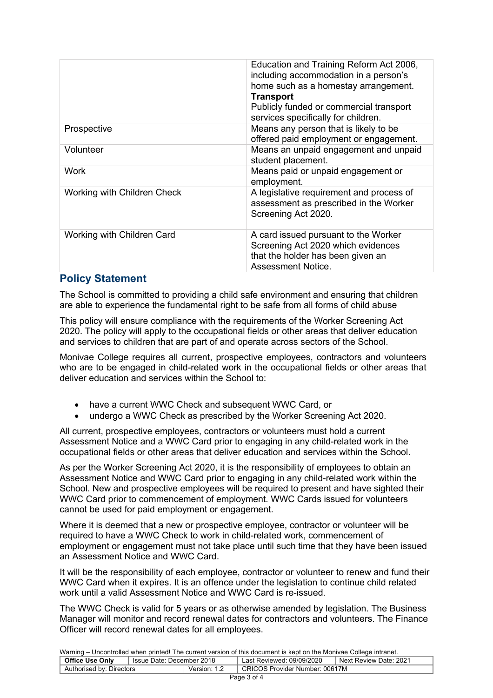|                             | Education and Training Reform Act 2006,<br>including accommodation in a person's<br>home such as a homestay arrangement.                     |  |  |
|-----------------------------|----------------------------------------------------------------------------------------------------------------------------------------------|--|--|
|                             | <b>Transport</b><br>Publicly funded or commercial transport<br>services specifically for children.                                           |  |  |
| Prospective                 | Means any person that is likely to be<br>offered paid employment or engagement.                                                              |  |  |
| Volunteer                   | Means an unpaid engagement and unpaid<br>student placement.                                                                                  |  |  |
| Work                        | Means paid or unpaid engagement or<br>employment.                                                                                            |  |  |
| Working with Children Check | A legislative requirement and process of<br>assessment as prescribed in the Worker<br>Screening Act 2020.                                    |  |  |
| Working with Children Card  | A card issued pursuant to the Worker<br>Screening Act 2020 which evidences<br>that the holder has been given an<br><b>Assessment Notice.</b> |  |  |

# **Policy Statement**

The School is committed to providing a child safe environment and ensuring that children are able to experience the fundamental right to be safe from all forms of child abuse

This policy will ensure compliance with the requirements of the Worker Screening Act 2020. The policy will apply to the occupational fields or other areas that deliver education and services to children that are part of and operate across sectors of the School.

Monivae College requires all current, prospective employees, contractors and volunteers who are to be engaged in child-related work in the occupational fields or other areas that deliver education and services within the School to:

- have a current WWC Check and subsequent WWC Card, or
- undergo a WWC Check as prescribed by the Worker Screening Act 2020.

All current, prospective employees, contractors or volunteers must hold a current Assessment Notice and a WWC Card prior to engaging in any child-related work in the occupational fields or other areas that deliver education and services within the School.

As per the Worker Screening Act 2020, it is the responsibility of employees to obtain an Assessment Notice and WWC Card prior to engaging in any child-related work within the School. New and prospective employees will be required to present and have sighted their WWC Card prior to commencement of employment. WWC Cards issued for volunteers cannot be used for paid employment or engagement.

Where it is deemed that a new or prospective employee, contractor or volunteer will be required to have a WWC Check to work in child-related work, commencement of employment or engagement must not take place until such time that they have been issued an Assessment Notice and WWC Card.

It will be the responsibility of each employee, contractor or volunteer to renew and fund their WWC Card when it expires. It is an offence under the legislation to continue child related work until a valid Assessment Notice and WWC Card is re-issued.

The WWC Check is valid for 5 years or as otherwise amended by legislation. The Business Manager will monitor and record renewal dates for contractors and volunteers. The Finance Officer will record renewal dates for all employees.

| Warning – Uncontrolled when printed! The current version of this document is kept on the Monivae College intranet. |                           |                                |                           |                                     |
|--------------------------------------------------------------------------------------------------------------------|---------------------------|--------------------------------|---------------------------|-------------------------------------|
| Office Use Only                                                                                                    | Issue Date: December 2018 |                                | Last Reviewed: 09/09/2020 | <sup>1</sup> Next Review Date: 2021 |
| Version: 1.2<br>Authorised by: Directors                                                                           |                           | CRICOS Provider Number: 00617M |                           |                                     |